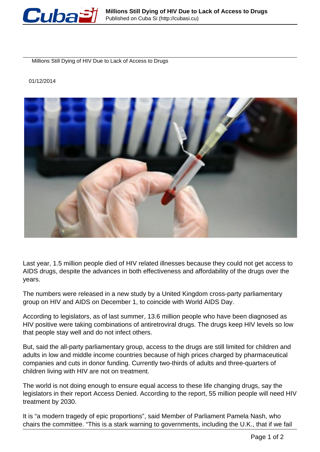

Millions Still Dying of HIV Due to Lack of Access to Drugs

01/12/2014



Last year, 1.5 million people died of HIV related illnesses because they could not get access to AIDS drugs, despite the advances in both effectiveness and affordability of the drugs over the years.

The numbers were released in a new study by a United Kingdom cross-party parliamentary group on HIV and AIDS on December 1, to coincide with World AIDS Day.

According to legislators, as of last summer, 13.6 million people who have been diagnosed as HIV positive were taking combinations of antiretroviral drugs. The drugs keep HIV levels so low that people stay well and do not infect others.

But, said the all-party parliamentary group, access to the drugs are still limited for children and adults in low and middle income countries because of high prices charged by pharmaceutical companies and cuts in donor funding. Currently two-thirds of adults and three-quarters of children living with HIV are not on treatment.

The world is not doing enough to ensure equal access to these life changing drugs, say the legislators in their report Access Denied. According to the report, 55 million people will need HIV treatment by 2030.

It is "a modern tragedy of epic proportions", said Member of Parliament Pamela Nash, who chairs the committee. "This is a stark warning to governments, including the U.K., that if we fail